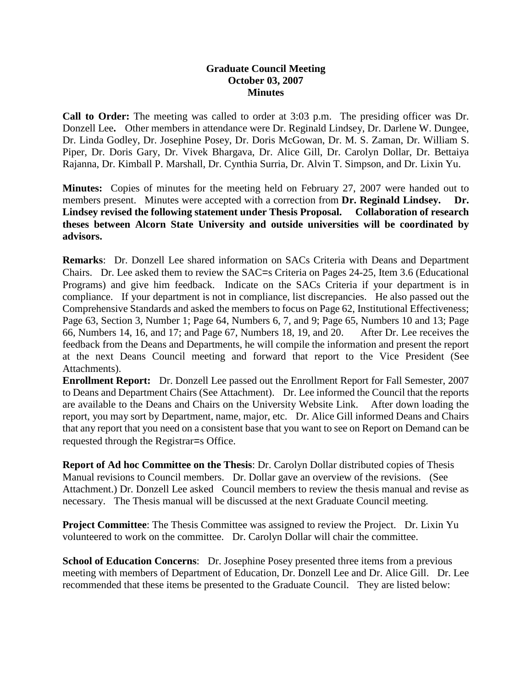## **Graduate Council Meeting October 03, 2007 Minutes**

**Call to Order:** The meeting was called to order at 3:03 p.m. The presiding officer was Dr. Donzell Lee**.** Other members in attendance were Dr. Reginald Lindsey, Dr. Darlene W. Dungee, Dr. Linda Godley, Dr. Josephine Posey, Dr. Doris McGowan, Dr. M. S. Zaman, Dr. William S. Piper, Dr. Doris Gary, Dr. Vivek Bhargava, Dr. Alice Gill, Dr. Carolyn Dollar, Dr. Bettaiya Rajanna, Dr. Kimball P. Marshall, Dr. Cynthia Surria, Dr. Alvin T. Simpson, and Dr. Lixin Yu.

**Minutes:** Copies of minutes for the meeting held on February 27, 2007 were handed out to members present. Minutes were accepted with a correction from **Dr. Reginald Lindsey. Dr. Lindsey revised the following statement under Thesis Proposal. Collaboration of research theses between Alcorn State University and outside universities will be coordinated by advisors.**

**Remarks**: Dr. Donzell Lee shared information on SACs Criteria with Deans and Department Chairs. Dr. Lee asked them to review the SAC=s Criteria on Pages 24-25, Item 3.6 (Educational Programs) and give him feedback. Indicate on the SACs Criteria if your department is in compliance. If your department is not in compliance, list discrepancies. He also passed out the Comprehensive Standards and asked the members to focus on Page 62, Institutional Effectiveness; Page 63, Section 3, Number 1; Page 64, Numbers 6, 7, and 9; Page 65, Numbers 10 and 13; Page 66, Numbers 14, 16, and 17; and Page 67, Numbers 18, 19, and 20. After Dr. Lee receives the feedback from the Deans and Departments, he will compile the information and present the report at the next Deans Council meeting and forward that report to the Vice President (See Attachments).

**Enrollment Report:** Dr. Donzell Lee passed out the Enrollment Report for Fall Semester, 2007 to Deans and Department Chairs (See Attachment). Dr. Lee informed the Council that the reports are available to the Deans and Chairs on the University Website Link. After down loading the report, you may sort by Department, name, major, etc. Dr. Alice Gill informed Deans and Chairs that any report that you need on a consistent base that you want to see on Report on Demand can be requested through the Registrar=s Office.

**Report of Ad hoc Committee on the Thesis**: Dr. Carolyn Dollar distributed copies of Thesis Manual revisions to Council members. Dr. Dollar gave an overview of the revisions. (See Attachment.) Dr. Donzell Lee asked Council members to review the thesis manual and revise as necessary. The Thesis manual will be discussed at the next Graduate Council meeting.

**Project Committee**: The Thesis Committee was assigned to review the Project. Dr. Lixin Yu volunteered to work on the committee. Dr. Carolyn Dollar will chair the committee.

**School of Education Concerns:** Dr. Josephine Posey presented three items from a previous meeting with members of Department of Education, Dr. Donzell Lee and Dr. Alice Gill. Dr. Lee recommended that these items be presented to the Graduate Council. They are listed below: